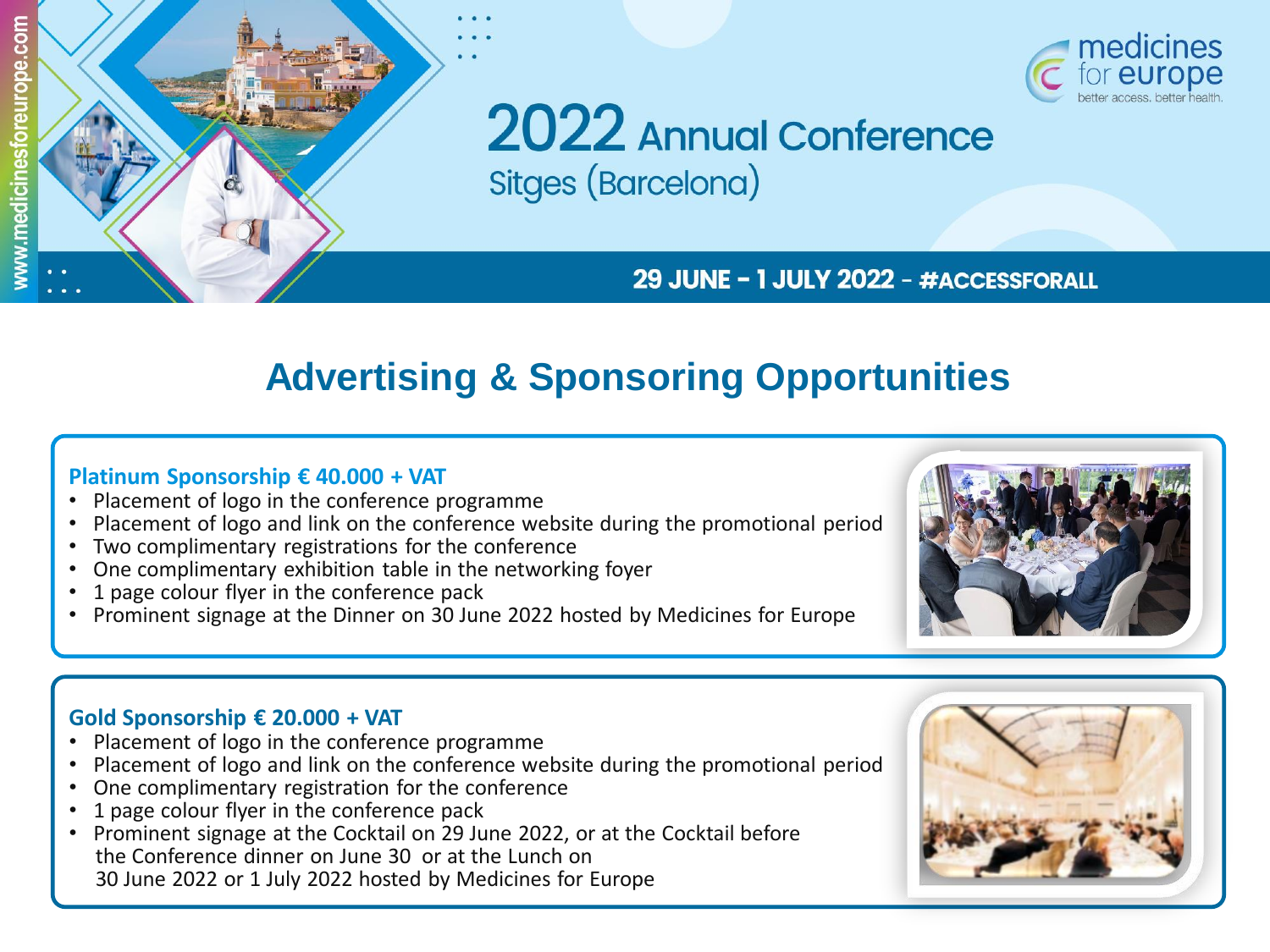



**2022** Annual Conference **Sitges (Barcelona)** 

## 29 JUNE - 1 JULY 2022 - #ACCESSFORALL

# **Advertising & Sponsoring Opportunities**

#### **Platinum Sponsorship € 40.000 + VAT**

- Placement of logo in the conference programme
- Placement of logo and link on the conference website during the promotional period
- Two complimentary registrations for the conference
- One complimentary exhibition table in the networking foyer
- 1 page colour flyer in the conference pack
- Prominent signage at the Dinner on 30 June 2022 hosted by Medicines for Europe



### **Gold Sponsorship € 20.000 + VAT**

- Placement of logo in the conference programme
- Placement of logo and link on the conference website during the promotional period
- One complimentary registration for the conference
- 1 page colour flyer in the conference pack
- Prominent signage at the Cocktail on 29 June 2022, or at the Cocktail before the Conference dinner on June 30 or at the Lunch on 30 June 2022 or 1 July 2022 hosted by Medicines for Europe

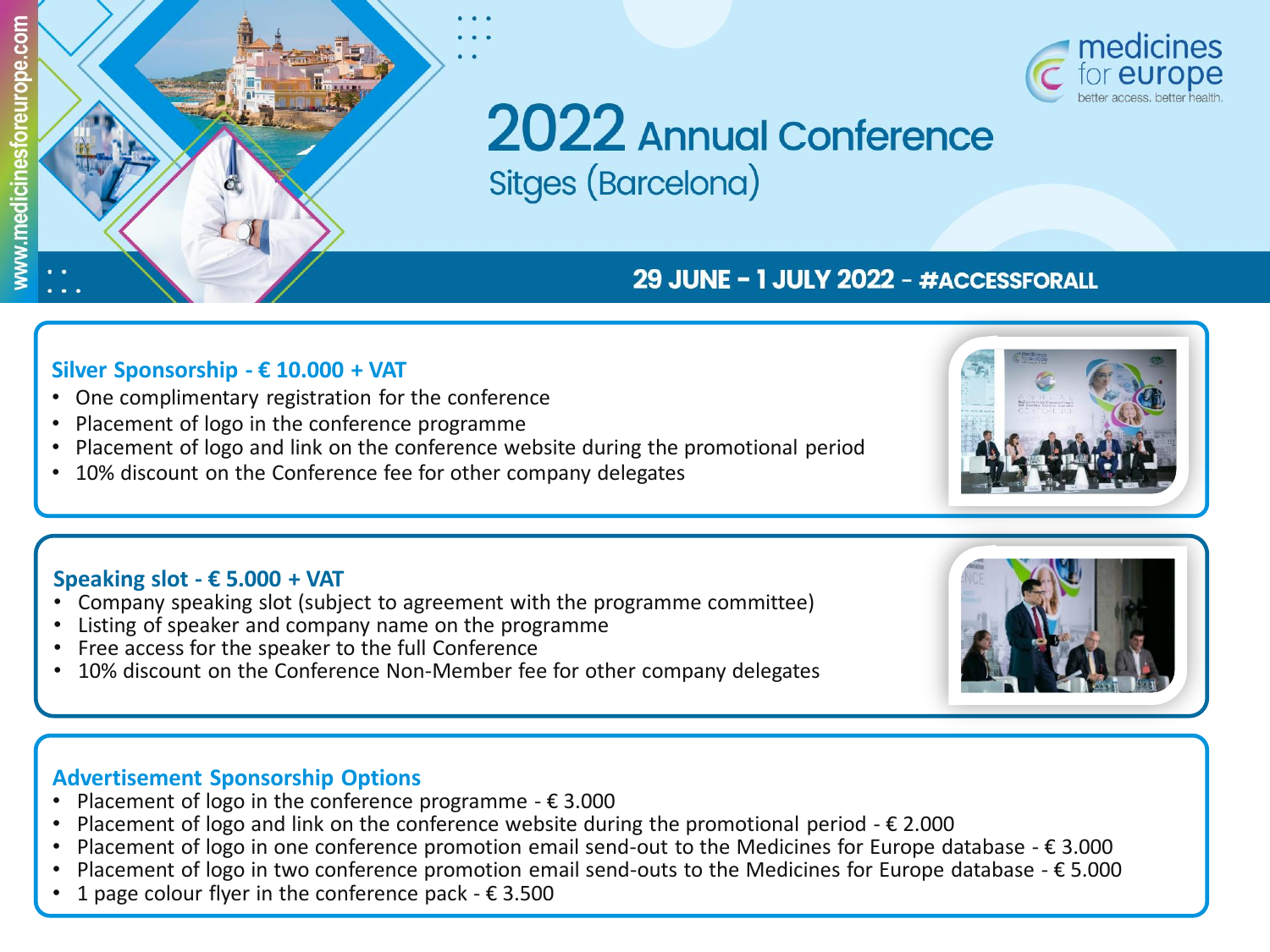



# 2022 Annual Conference Sitges (Barcelona)

# 29 JUNE - 1 JULY 2022 - #ACCESSFORALL

#### **Silver Sponsorship - € 10.000 + VAT**

- One complimentary registration for the conference
- Placement of logo in the conference programme
- Placement of logo and link on the conference website during the promotional period
- 10% discount on the Conference fee for other company delegates

#### **Speaking slot - € 5.000 + VAT**

- Company speaking slot (subject to agreement with the programme committee)
- Listing of speaker and company name on the programme
- Free access for the speaker to the full Conference
- 10% discount on the Conference Non-Member fee for other company delegates

# **Advertisement Sponsorship Options**

- Placement of logo in the conference programme  $\epsilon$  3.000
- Placement of logo and link on the conference website during the promotional period  $\epsilon$  2.000
- Placement of logo in one conference promotion email send-out to the Medicines for Europe database  $\epsilon$  3.000
- Placement of logo in two conference promotion email send-outs to the Medicines for Europe database € 5.000
- 1 page colour flyer in the conference pack  $\epsilon$  3.500



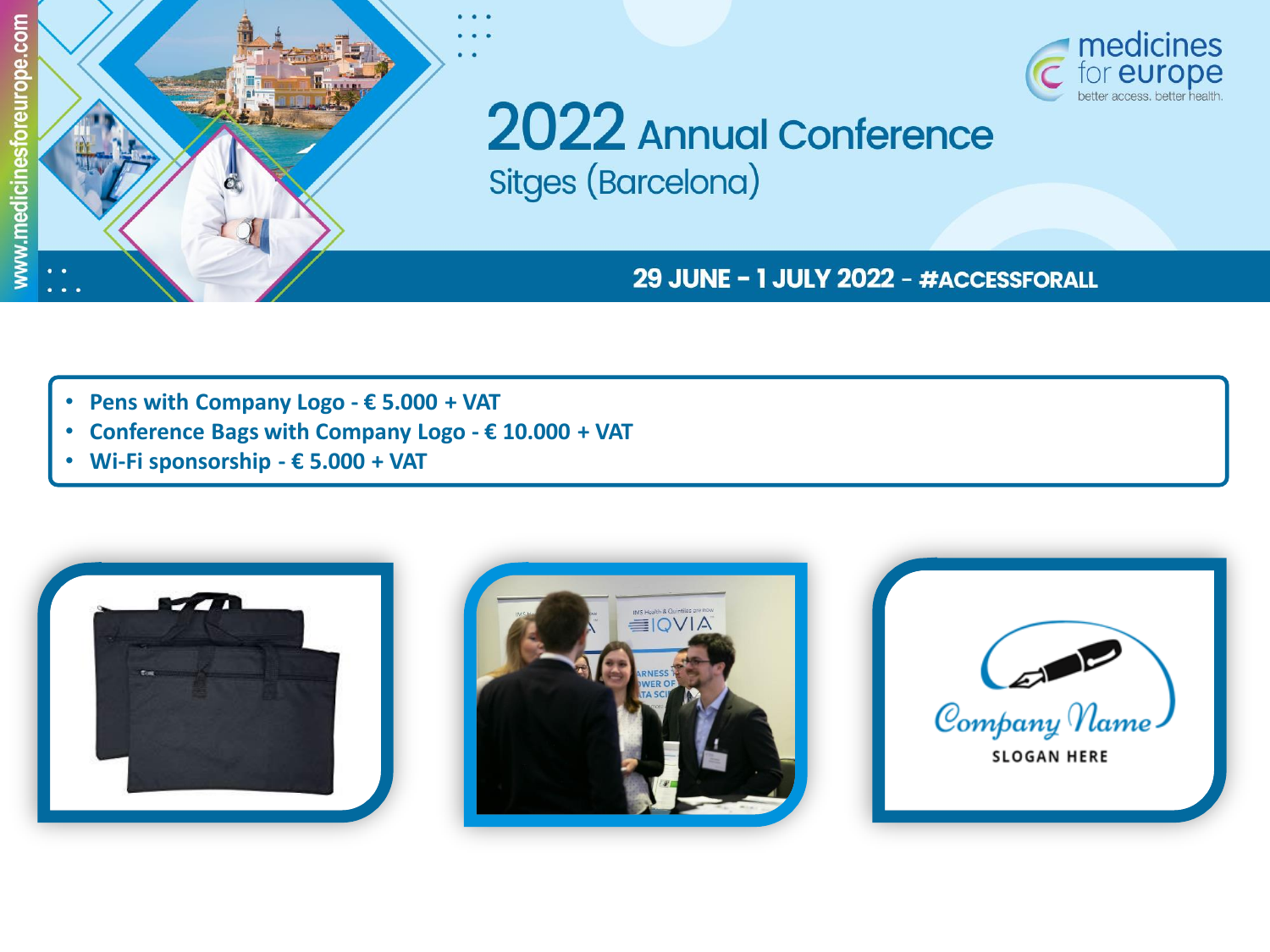



2022 Annual Conference **Sitges (Barcelona)** 

29 JUNE - 1 JULY 2022 - #ACCESSFORALL

- **Pens with Company Logo - € 5.000 + VAT**
- **Conference Bags with Company Logo - € 10.000 + VAT**
- **Wi-Fi sponsorship - € 5.000 + VAT**